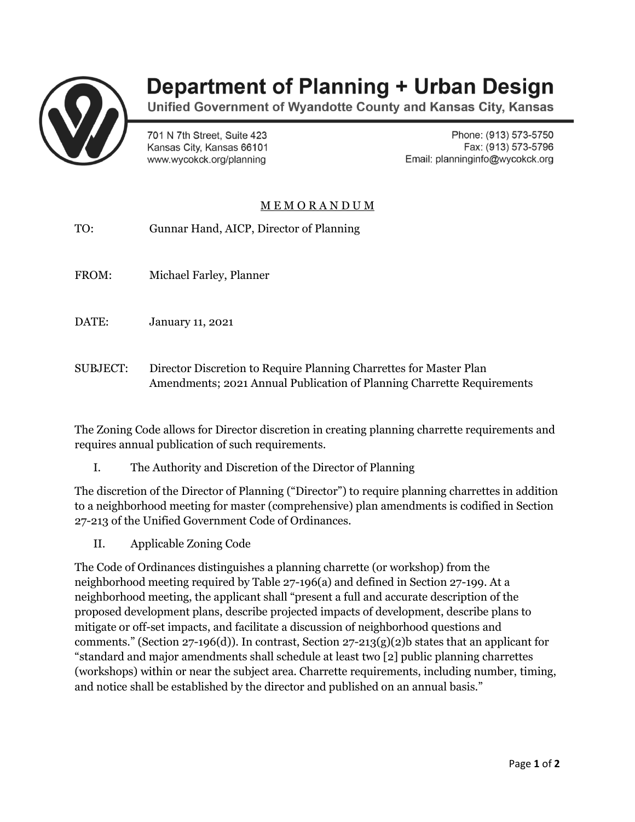

## **Department of Planning + Urban Design**

Unified Government of Wyandotte County and Kansas City, Kansas

701 N 7th Street, Suite 423 Kansas City, Kansas 66101 www.wycokck.org/planning

Phone: (913) 573-5750 Fax: (913) 573-5796 Email: planninginfo@wycokck.org

## M E M O R A N D U M

- TO: Gunnar Hand, AICP, Director of Planning
- FROM: Michael Farley, Planner
- DATE: January 11, 2021
- SUBJECT: Director Discretion to Require Planning Charrettes for Master Plan Amendments; 2021 Annual Publication of Planning Charrette Requirements

The Zoning Code allows for Director discretion in creating planning charrette requirements and requires annual publication of such requirements.

I. The Authority and Discretion of the Director of Planning

The discretion of the Director of Planning ("Director") to require planning charrettes in addition to a neighborhood meeting for master (comprehensive) plan amendments is codified in Section 27-213 of the Unified Government Code of Ordinances.

II. Applicable Zoning Code

The Code of Ordinances distinguishes a planning charrette (or workshop) from the neighborhood meeting required by Table 27-196(a) and defined in Section 27-199. At a neighborhood meeting, the applicant shall "present a full and accurate description of the proposed development plans, describe projected impacts of development, describe plans to mitigate or off-set impacts, and facilitate a discussion of neighborhood questions and comments." (Section 27-196(d)). In contrast, Section 27-213(g)(2)b states that an applicant for "standard and major amendments shall schedule at least two [2] public planning charrettes (workshops) within or near the subject area. Charrette requirements, including number, timing, and notice shall be established by the director and published on an annual basis."